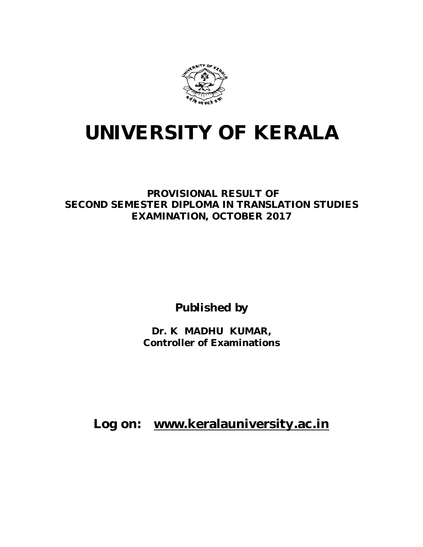

# **UNIVERSITY OF KERALA**

**PROVISIONAL RESULT OF SECOND SEMESTER DIPLOMA IN TRANSLATION STUDIES EXAMINATION, OCTOBER 2017**

**Published by**

**Dr. K MADHU KUMAR, Controller of Examinations**

**Log on: www.keralauniversity.ac.in**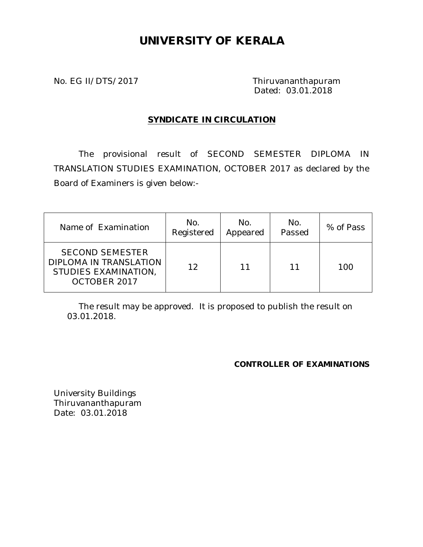# **UNIVERSITY OF KERALA**

No. EG II/DTS/2017 Thiruvananthapuram Dated: 03.01.2018

# **SYNDICATE IN CIRCULATION**

The provisional result of SECOND SEMESTER DIPLOMA IN TRANSLATION STUDIES EXAMINATION, OCTOBER 2017 as declared by the Board of Examiners is given below:-

| Name of Examination                                                                      | No.<br>Registered | No.<br>Appeared | No.<br>Passed | % of Pass |
|------------------------------------------------------------------------------------------|-------------------|-----------------|---------------|-----------|
| <b>SECOND SEMESTER</b><br>DIPLOMA IN TRANSLATION<br>STUDIES EXAMINATION,<br>OCTOBER 2017 | 12                | 11              | 11            | 100       |

The result may be approved. It is proposed to publish the result on 03.01.2018.

# **CONTROLLER OF EXAMINATIONS**

University Buildings Thiruvananthapuram Date: 03.01.2018